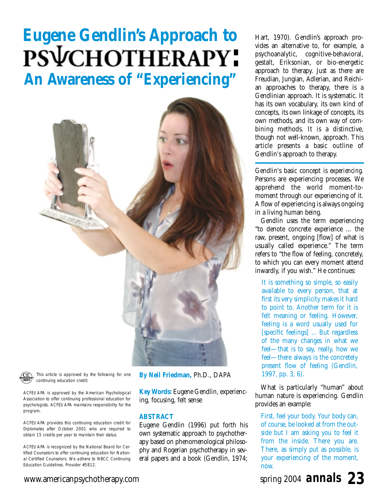# **Eugene Gendlin's Approach to** PSVCHOTHERAPY: **An Awareness of "Experiencing"**



This article is approved by the following for one continuing education credit:

ACFEI/APA is approved by the American Psychological Association to offer continuing professional education for psychologists. ACFEI/APA maintains responsibility for the program.

ACFEI/APA provides this continuing education credit for Diplomates after October 2001 who are required to obtain 15 credits per year to maintain their status.

ACFEI/APA is recognized by the National Board for Certified Counselors to offer continuing education for National Certified Counselors. We adhere to NBCC Continuing Education Guidelines. Provider #5812.

**By Neil Friedman,** Ph.D., DAPA

**Key Words:** Eugene Gendlin, experiencing, focusing, felt sense

## **ABSTRACT**

Eugene Gendlin (1996) put forth his own systematic approach to psychotherapy based on phenomenological philosophy and Rogerian psychotherapy in several papers and a book (Gendlin, 1974;

Hart, 1970). Gendlin's approach provides an alternative to, for example, a psychoanalytic, cognitive-behavioral, gestalt, Eriksonian, or bio-energetic approach to therapy. Just as there are Freudian, Jungian, Adlerian, and Reichian approaches to therapy, there is a Gendlinian approach. It is systematic. It has its own vocabulary, its own kind of concepts, its own linkage of concepts, its own methods, and its own way of combining methods. It is a distinctive, though not well-known, approach. This article presents a basic outline of Gendlin's approach to therapy.

Gendlin's basic concept is *experiencing.* Persons are experiencing processes. We apprehend the world moment-tomoment through our experiencing of it. A flow of experiencing is always ongoing in a living human being.

Gendlin uses the term experiencing "to denote concrete experience ... the raw, present, ongoing [flow] of what is usually called experience." The term refers to "the flow of feeling, concretely, to which you can every moment attend inwardly, if you wish." He continues:

It is something so simple, so easily available to every person, that at first its very simplicity makes it hard to point to. Another term for it is felt meaning or feeling. However, feeling is a word usually used for [specific feelings] ... But regardless of the many changes in what we feel—that is to say, really, how we feel—there always is the concretely present flow of feeling (Gendlin, 1997, pp. 3, 6).

What is particularly "human" about human nature is experiencing. Gendlin provides an example:

First, feel your body. Your body can, of course, be looked at from the outside but I am asking you to feel it from the inside. There you are. There, as simply put as possible, is your experiencing of the moment, now.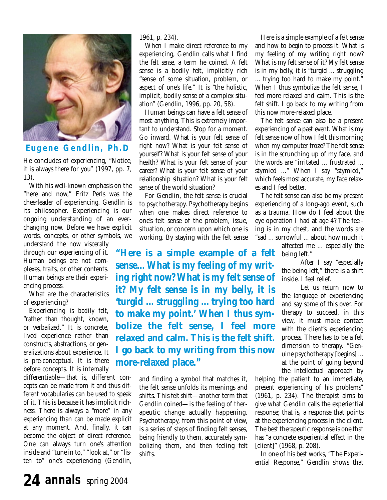

## **Eugene Gendlin, Ph.D**

He concludes of experiencing, "Notice, it is always there for you" (1997, pp. 7, 13).

With his well-known emphasis on the "here and now," Fritz Perls was the cheerleader of experiencing. Gendlin is its philosopher. Experiencing is our ongoing understanding of an everchanging now. Before we have explicit words, concepts, or other symbols, we

understand the now viscerally through our experiencing of it. Human beings are not complexes, traits, or other contents. Human beings are their experiencing process.

What are the characteristics of experiencing?

Experiencing is *bodily felt*, "rather than thought, known, or verbalized." It is concrete, lived experience rather than constructs, abstractions, or generalizations about experience. It is pre-conceptual. It is there before concepts. It is internally

differentiable—that is, different concepts can be made from it and thus different vocabularies can be used to speak of it. This is because it has implicit richness. There is always a "more" in any experiencing than can be made explicit at any moment. And, finally, it can become the object of direct reference. One can always turn one's attention inside and "tune in to," "look at," or "listen to" one's experiencing (Gendlin,

1961, p. 234).

When I make direct reference to my experiencing, Gendlin calls what I find the *felt sense,* a term he coined. A felt sense is a bodily felt, implicitly rich "sense of some situation, problem, or aspect of one's life." It is "the holistic, implicit, bodily sense of a complex situation" (Gendlin, 1996, pp. 20, 58).

Human beings can have a felt sense of most anything. This is extremely important to understand. Stop for a moment. Go inward. What is your felt sense of right now? What is your felt sense of yourself? What is your felt sense of your health? What is your felt sense of your career? What is your felt sense of your relationship situation? What is your felt sense of the world situation?

For Gendlin, the felt sense is crucial to psychotherapy. Psychotherapy begins when one makes direct reference to one's felt sense of the problem, issue, situation, or concern upon which one is working. By staying with the felt sense

**"Here is a simple example of a felt sense... What is my feeling of my writing right now? What is my felt sense of it? My felt sense is in my belly, it is 'turgid ... struggling ... trying too hard to make my point.' When I thus symbolize the felt sense, I feel more relaxed and calm. This is the felt shift. I go back to my writing from this now more-relaxed place."**

> and finding a symbol that matches it, the felt sense unfolds its meanings and shifts. This *felt shift*—another term that Gendlin coined—is the feeling of therapeutic change actually happening. Psychotherapy, from this point of view, is a series of steps of finding felt senses, being friendly to them, accurately symbolizing them, and then feeling felt shifts.

Here is a simple example of a felt sense and how to begin to process it. What is my feeling of my writing right now? What is my felt sense of it? My felt sense is in my belly, it is "turgid ... struggling ... trying too hard to make my point." When I thus symbolize the felt sense, I feel more relaxed and calm. This is the felt shift. I go back to my writing from this now more-relaxed place.

The felt sense can also be a present experiencing of a past event. What is my felt sense now of how I felt this morning when my computer froze? The felt sense is in the scrunching up of my face, and the words are "irritated ... frustrated ... stymied ..." When I say "stymied," which feels most accurate, my face relaxes and I feel better.

The felt sense can also be my present experiencing of a long-ago event, such as a trauma. How do I feel about the eye operation I had at age 4? The feeling is in my chest, and the words are "sad ... sorrowful ... about how much it

> affected me ... especially the being left."

After I say "especially the being left," there is a shift inside. I feel relief.

Let us return now to the language of experiencing and say some of this over. For therapy to succeed, in this view, it must make contact with the client's experiencing process. There has to be a felt dimension to therapy. "Genuine psychotherapy [begins] ... at the point of going beyond the intellectual approach by

helping the patient to an immediate, present experiencing of his problems" (1961, p. 234). The therapist aims to give what Gendlin calls the experiential response; that is, a response that points at the experiencing process in the client. The best therapeutic response is one that has "a concrete experiential effect in the [client]" (1968, p. 208).

In one of his best works, "The Experiential Response," Gendlin shows that